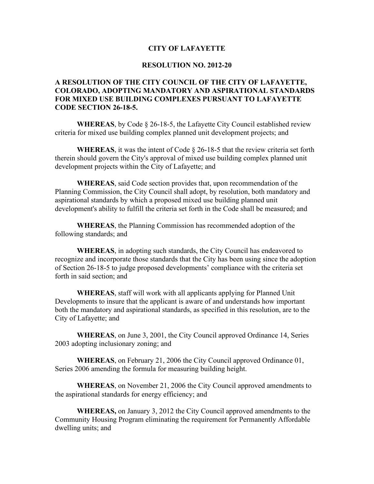## **CITY OF LAFAYETTE**

## **RESOLUTION NO. 2012-20**

## **A RESOLUTION OF THE CITY COUNCIL OF THE CITY OF LAFAYETTE, COLORADO, ADOPTING MANDATORY AND ASPIRATIONAL STANDARDS FOR MIXED USE BUILDING COMPLEXES PURSUANT TO LAFAYETTE CODE SECTION 26-18-5.**

**WHEREAS**, by Code § 26-18-5, the Lafayette City Council established review criteria for mixed use building complex planned unit development projects; and

**WHEREAS**, it was the intent of Code  $\S$  26-18-5 that the review criteria set forth therein should govern the City's approval of mixed use building complex planned unit development projects within the City of Lafayette; and

**WHEREAS**, said Code section provides that, upon recommendation of the Planning Commission, the City Council shall adopt, by resolution, both mandatory and aspirational standards by which a proposed mixed use building planned unit development's ability to fulfill the criteria set forth in the Code shall be measured; and

**WHEREAS**, the Planning Commission has recommended adoption of the following standards; and

**WHEREAS**, in adopting such standards, the City Council has endeavored to recognize and incorporate those standards that the City has been using since the adoption of Section 26-18-5 to judge proposed developments' compliance with the criteria set forth in said section; and

**WHEREAS**, staff will work with all applicants applying for Planned Unit Developments to insure that the applicant is aware of and understands how important both the mandatory and aspirational standards, as specified in this resolution, are to the City of Lafayette; and

**WHEREAS**, on June 3, 2001, the City Council approved Ordinance 14, Series 2003 adopting inclusionary zoning; and

**WHEREAS**, on February 21, 2006 the City Council approved Ordinance 01, Series 2006 amending the formula for measuring building height.

**WHEREAS**, on November 21, 2006 the City Council approved amendments to the aspirational standards for energy efficiency; and

**WHEREAS,** on January 3, 2012 the City Council approved amendments to the Community Housing Program eliminating the requirement for Permanently Affordable dwelling units; and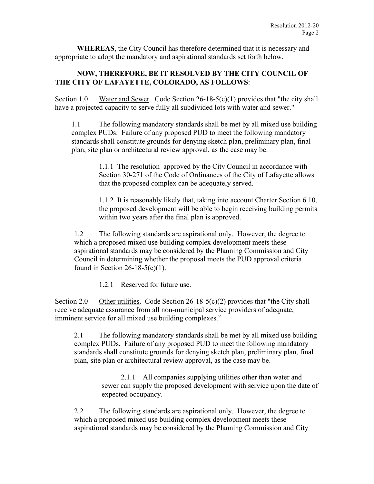**WHEREAS**, the City Council has therefore determined that it is necessary and appropriate to adopt the mandatory and aspirational standards set forth below.

## **NOW, THEREFORE, BE IT RESOLVED BY THE CITY COUNCIL OF THE CITY OF LAFAYETTE, COLORADO, AS FOLLOWS**:

Section 1.0 Water and Sewer. Code Section 26-18-5(c)(1) provides that "the city shall have a projected capacity to serve fully all subdivided lots with water and sewer."

1.1 The following mandatory standards shall be met by all mixed use building complex PUDs. Failure of any proposed PUD to meet the following mandatory standards shall constitute grounds for denying sketch plan, preliminary plan, final plan, site plan or architectural review approval, as the case may be.

> 1.1.1 The resolution approved by the City Council in accordance with Section 30-271 of the Code of Ordinances of the City of Lafayette allows that the proposed complex can be adequately served.

1.1.2 It is reasonably likely that, taking into account Charter Section 6.10, the proposed development will be able to begin receiving building permits within two years after the final plan is approved.

1.2 The following standards are aspirational only. However, the degree to which a proposed mixed use building complex development meets these aspirational standards may be considered by the Planning Commission and City Council in determining whether the proposal meets the PUD approval criteria found in Section 26-18-5(c)(1).

1.2.1 Reserved for future use.

Section 2.0 Other utilities. Code Section  $26-18-5(c)(2)$  provides that "the City shall receive adequate assurance from all non-municipal service providers of adequate, imminent service for all mixed use building complexes."

2.1 The following mandatory standards shall be met by all mixed use building complex PUDs. Failure of any proposed PUD to meet the following mandatory standards shall constitute grounds for denying sketch plan, preliminary plan, final plan, site plan or architectural review approval, as the case may be.

> 2.1.1 All companies supplying utilities other than water and sewer can supply the proposed development with service upon the date of expected occupancy.

2.2 The following standards are aspirational only. However, the degree to which a proposed mixed use building complex development meets these aspirational standards may be considered by the Planning Commission and City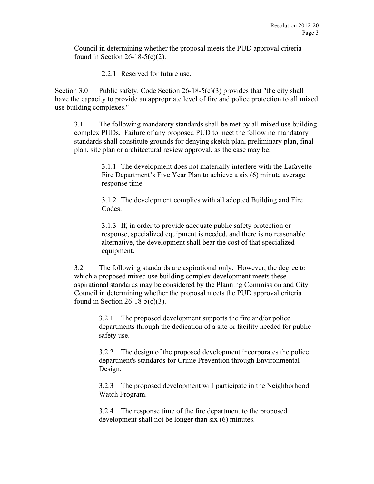Council in determining whether the proposal meets the PUD approval criteria found in Section 26-18-5(c)(2).

2.2.1 Reserved for future use.

Section 3.0 Public safety. Code Section  $26-18-5(c)(3)$  provides that "the city shall have the capacity to provide an appropriate level of fire and police protection to all mixed use building complexes."

3.1 The following mandatory standards shall be met by all mixed use building complex PUDs. Failure of any proposed PUD to meet the following mandatory standards shall constitute grounds for denying sketch plan, preliminary plan, final plan, site plan or architectural review approval, as the case may be.

> 3.1.1 The development does not materially interfere with the Lafayette Fire Department's Five Year Plan to achieve a six (6) minute average response time.

3.1.2 The development complies with all adopted Building and Fire Codes.

3.1.3 If, in order to provide adequate public safety protection or response, specialized equipment is needed, and there is no reasonable alternative, the development shall bear the cost of that specialized equipment.

3.2 The following standards are aspirational only. However, the degree to which a proposed mixed use building complex development meets these aspirational standards may be considered by the Planning Commission and City Council in determining whether the proposal meets the PUD approval criteria found in Section 26-18-5(c)(3).

> 3.2.1 The proposed development supports the fire and/or police departments through the dedication of a site or facility needed for public safety use.

> 3.2.2 The design of the proposed development incorporates the police department's standards for Crime Prevention through Environmental Design.

> 3.2.3 The proposed development will participate in the Neighborhood Watch Program.

3.2.4 The response time of the fire department to the proposed development shall not be longer than six (6) minutes.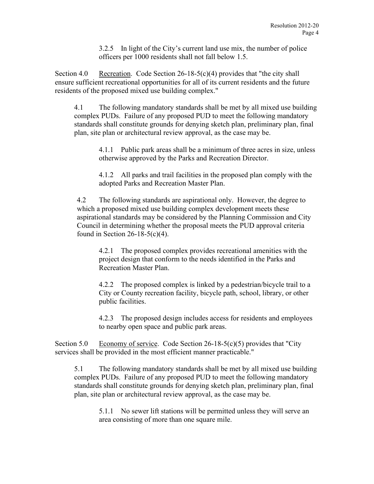3.2.5 In light of the City's current land use mix, the number of police officers per 1000 residents shall not fall below 1.5.

Section 4.0 Recreation. Code Section  $26-18-5(c)(4)$  provides that "the city shall ensure sufficient recreational opportunities for all of its current residents and the future residents of the proposed mixed use building complex."

4.1 The following mandatory standards shall be met by all mixed use building complex PUDs. Failure of any proposed PUD to meet the following mandatory standards shall constitute grounds for denying sketch plan, preliminary plan, final plan, site plan or architectural review approval, as the case may be.

> 4.1.1 Public park areas shall be a minimum of three acres in size, unless otherwise approved by the Parks and Recreation Director.

4.1.2 All parks and trail facilities in the proposed plan comply with the adopted Parks and Recreation Master Plan.

4.2 The following standards are aspirational only. However, the degree to which a proposed mixed use building complex development meets these aspirational standards may be considered by the Planning Commission and City Council in determining whether the proposal meets the PUD approval criteria found in Section 26-18-5(c)(4).

4.2.1 The proposed complex provides recreational amenities with the project design that conform to the needs identified in the Parks and Recreation Master Plan.

4.2.2 The proposed complex is linked by a pedestrian/bicycle trail to a City or County recreation facility, bicycle path, school, library, or other public facilities.

4.2.3 The proposed design includes access for residents and employees to nearby open space and public park areas.

Section 5.0 Economy of service. Code Section 26-18-5(c)(5) provides that "City services shall be provided in the most efficient manner practicable."

5.1 The following mandatory standards shall be met by all mixed use building complex PUDs. Failure of any proposed PUD to meet the following mandatory standards shall constitute grounds for denying sketch plan, preliminary plan, final plan, site plan or architectural review approval, as the case may be.

5.1.1 No sewer lift stations will be permitted unless they will serve an area consisting of more than one square mile.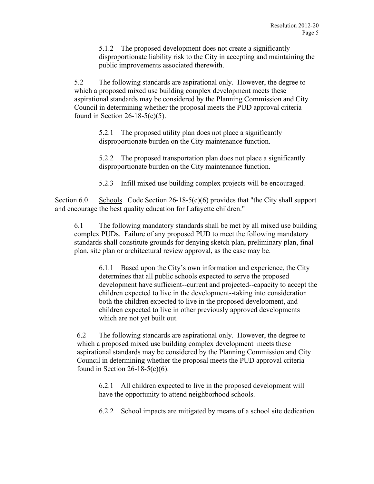5.1.2 The proposed development does not create a significantly disproportionate liability risk to the City in accepting and maintaining the public improvements associated therewith.

5.2 The following standards are aspirational only. However, the degree to which a proposed mixed use building complex development meets these aspirational standards may be considered by the Planning Commission and City Council in determining whether the proposal meets the PUD approval criteria found in Section 26-18-5(c)(5).

> 5.2.1 The proposed utility plan does not place a significantly disproportionate burden on the City maintenance function.

5.2.2 The proposed transportation plan does not place a significantly disproportionate burden on the City maintenance function.

5.2.3 Infill mixed use building complex projects will be encouraged.

Section 6.0 Schools. Code Section 26-18-5(c)(6) provides that "the City shall support and encourage the best quality education for Lafayette children."

6.1 The following mandatory standards shall be met by all mixed use building complex PUDs. Failure of any proposed PUD to meet the following mandatory standards shall constitute grounds for denying sketch plan, preliminary plan, final plan, site plan or architectural review approval, as the case may be.

> 6.1.1 Based upon the City's own information and experience, the City determines that all public schools expected to serve the proposed development have sufficient--current and projected--capacity to accept the children expected to live in the development--taking into consideration both the children expected to live in the proposed development, and children expected to live in other previously approved developments which are not yet built out.

6.2 The following standards are aspirational only. However, the degree to which a proposed mixed use building complex development meets these aspirational standards may be considered by the Planning Commission and City Council in determining whether the proposal meets the PUD approval criteria found in Section 26-18-5(c)(6).

6.2.1 All children expected to live in the proposed development will have the opportunity to attend neighborhood schools.

6.2.2 School impacts are mitigated by means of a school site dedication.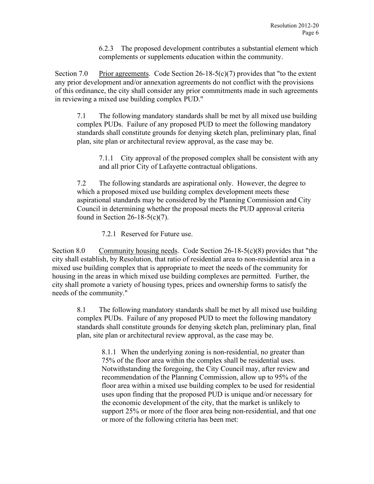6.2.3 The proposed development contributes a substantial element which complements or supplements education within the community.

Section 7.0 Prior agreements. Code Section 26-18-5(c)(7) provides that "to the extent any prior development and/or annexation agreements do not conflict with the provisions of this ordinance, the city shall consider any prior commitments made in such agreements in reviewing a mixed use building complex PUD."

7.1 The following mandatory standards shall be met by all mixed use building complex PUDs. Failure of any proposed PUD to meet the following mandatory standards shall constitute grounds for denying sketch plan, preliminary plan, final plan, site plan or architectural review approval, as the case may be.

7.1.1 City approval of the proposed complex shall be consistent with any and all prior City of Lafayette contractual obligations.

7.2 The following standards are aspirational only. However, the degree to which a proposed mixed use building complex development meets these aspirational standards may be considered by the Planning Commission and City Council in determining whether the proposal meets the PUD approval criteria found in Section 26-18-5(c)(7).

7.2.1 Reserved for Future use.

Section 8.0 Community housing needs. Code Section  $26-18-5(c)(8)$  provides that "the city shall establish, by Resolution, that ratio of residential area to non-residential area in a mixed use building complex that is appropriate to meet the needs of the community for housing in the areas in which mixed use building complexes are permitted. Further, the city shall promote a variety of housing types, prices and ownership forms to satisfy the needs of the community."

8.1 The following mandatory standards shall be met by all mixed use building complex PUDs. Failure of any proposed PUD to meet the following mandatory standards shall constitute grounds for denying sketch plan, preliminary plan, final plan, site plan or architectural review approval, as the case may be.

> 8.1.1 When the underlying zoning is non-residential, no greater than 75% of the floor area within the complex shall be residential uses. Notwithstanding the foregoing, the City Council may, after review and recommendation of the Planning Commission, allow up to 95% of the floor area within a mixed use building complex to be used for residential uses upon finding that the proposed PUD is unique and/or necessary for the economic development of the city, that the market is unlikely to support 25% or more of the floor area being non-residential, and that one or more of the following criteria has been met: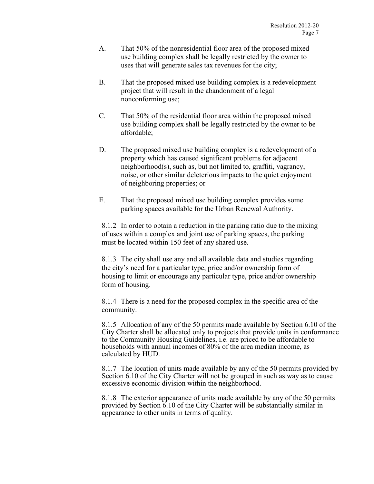- A. That 50% of the nonresidential floor area of the proposed mixed use building complex shall be legally restricted by the owner to uses that will generate sales tax revenues for the city;
- B. That the proposed mixed use building complex is a redevelopment project that will result in the abandonment of a legal nonconforming use;
- C. That 50% of the residential floor area within the proposed mixed use building complex shall be legally restricted by the owner to be affordable;
- D. The proposed mixed use building complex is a redevelopment of a property which has caused significant problems for adjacent neighborhood(s), such as, but not limited to, graffiti, vagrancy, noise, or other similar deleterious impacts to the quiet enjoyment of neighboring properties; or
- E. That the proposed mixed use building complex provides some parking spaces available for the Urban Renewal Authority.

8.1.2 In order to obtain a reduction in the parking ratio due to the mixing of uses within a complex and joint use of parking spaces, the parking must be located within 150 feet of any shared use.

8.1.3 The city shall use any and all available data and studies regarding the city's need for a particular type, price and/or ownership form of housing to limit or encourage any particular type, price and/or ownership form of housing.

8.1.4 There is a need for the proposed complex in the specific area of the community.

8.1.5 Allocation of any of the 50 permits made available by Section 6.10 of the City Charter shall be allocated only to projects that provide units in conformance to the Community Housing Guidelines, i.e. are priced to be affordable to households with annual incomes of 80% of the area median income, as calculated by HUD.

8.1.7 The location of units made available by any of the 50 permits provided by Section 6.10 of the City Charter will not be grouped in such as way as to cause excessive economic division within the neighborhood.

8.1.8 The exterior appearance of units made available by any of the 50 permits provided by Section 6.10 of the City Charter will be substantially similar in appearance to other units in terms of quality.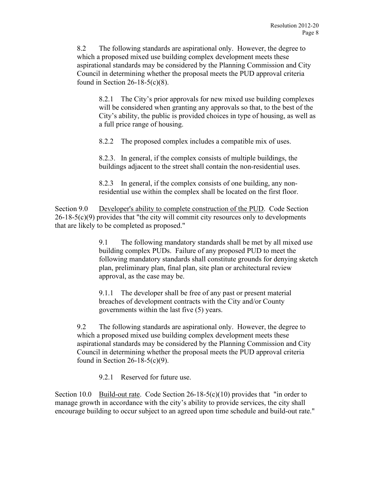8.2 The following standards are aspirational only. However, the degree to which a proposed mixed use building complex development meets these aspirational standards may be considered by the Planning Commission and City Council in determining whether the proposal meets the PUD approval criteria found in Section 26-18-5(c)(8).

8.2.1 The City's prior approvals for new mixed use building complexes will be considered when granting any approvals so that, to the best of the City's ability, the public is provided choices in type of housing, as well as a full price range of housing.

8.2.2 The proposed complex includes a compatible mix of uses.

8.2.3. In general, if the complex consists of multiple buildings, the buildings adjacent to the street shall contain the non-residential uses.

8.2.3 In general, if the complex consists of one building, any nonresidential use within the complex shall be located on the first floor.

Section 9.0 Developer's ability to complete construction of the PUD. Code Section  $26-18-5(c)(9)$  provides that "the city will commit city resources only to developments that are likely to be completed as proposed."

> 9.1 The following mandatory standards shall be met by all mixed use building complex PUDs. Failure of any proposed PUD to meet the following mandatory standards shall constitute grounds for denying sketch plan, preliminary plan, final plan, site plan or architectural review approval, as the case may be.

9.1.1 The developer shall be free of any past or present material breaches of development contracts with the City and/or County governments within the last five (5) years.

9.2 The following standards are aspirational only. However, the degree to which a proposed mixed use building complex development meets these aspirational standards may be considered by the Planning Commission and City Council in determining whether the proposal meets the PUD approval criteria found in Section 26-18-5(c)(9).

9.2.1 Reserved for future use.

Section 10.0 Build-out rate. Code Section 26-18-5(c)(10) provides that "in order to manage growth in accordance with the city's ability to provide services, the city shall encourage building to occur subject to an agreed upon time schedule and build-out rate."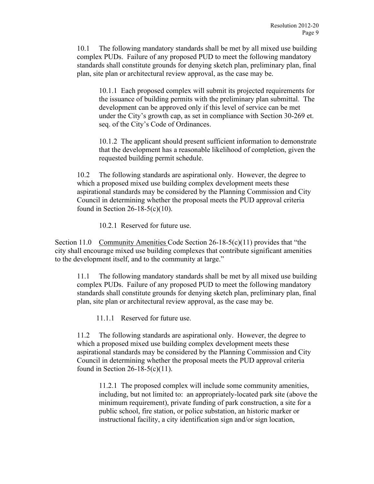10.1 The following mandatory standards shall be met by all mixed use building complex PUDs. Failure of any proposed PUD to meet the following mandatory standards shall constitute grounds for denying sketch plan, preliminary plan, final plan, site plan or architectural review approval, as the case may be.

10.1.1 Each proposed complex will submit its projected requirements for the issuance of building permits with the preliminary plan submittal. The development can be approved only if this level of service can be met under the City's growth cap, as set in compliance with Section 30-269 et. seq. of the City's Code of Ordinances.

10.1.2 The applicant should present sufficient information to demonstrate that the development has a reasonable likelihood of completion, given the requested building permit schedule.

10.2 The following standards are aspirational only. However, the degree to which a proposed mixed use building complex development meets these aspirational standards may be considered by the Planning Commission and City Council in determining whether the proposal meets the PUD approval criteria found in Section 26-18-5(c)(10).

10.2.1 Reserved for future use.

Section 11.0 Community Amenities Code Section  $26-18-5(c)(11)$  provides that "the city shall encourage mixed use building complexes that contribute significant amenities to the development itself, and to the community at large."

11.1 The following mandatory standards shall be met by all mixed use building complex PUDs. Failure of any proposed PUD to meet the following mandatory standards shall constitute grounds for denying sketch plan, preliminary plan, final plan, site plan or architectural review approval, as the case may be.

11.1.1 Reserved for future use.

11.2 The following standards are aspirational only. However, the degree to which a proposed mixed use building complex development meets these aspirational standards may be considered by the Planning Commission and City Council in determining whether the proposal meets the PUD approval criteria found in Section 26-18-5(c)(11).

11.2.1 The proposed complex will include some community amenities, including, but not limited to: an appropriately-located park site (above the minimum requirement), private funding of park construction, a site for a public school, fire station, or police substation, an historic marker or instructional facility, a city identification sign and/or sign location,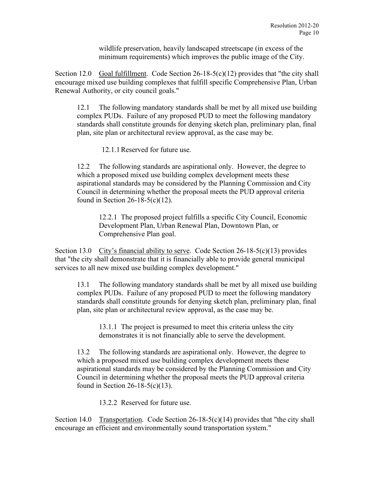wildlife preservation, heavily landscaped streetscape (in excess of the minimum requirements) which improves the public image of the City.

Section 12.0 Goal fulfillment. Code Section  $26-18-5(c)(12)$  provides that "the city shall encourage mixed use building complexes that fulfill specific Comprehensive Plan, Urban Renewal Authority, or city council goals."

12.1 The following mandatory standards shall be met by all mixed use building complex PUDs. Failure of any proposed PUD to meet the following mandatory standards shall constitute grounds for denying sketch plan, preliminary plan, final plan, site plan or architectural review approval, as the case may be.

12.1.1Reserved for future use.

12.2 The following standards are aspirational only. However, the degree to which a proposed mixed use building complex development meets these aspirational standards may be considered by the Planning Commission and City Council in determining whether the proposal meets the PUD approval criteria found in Section 26-18-5(c)(12).

12.2.1 The proposed project fulfills a specific City Council, Economic Development Plan, Urban Renewal Plan, Downtown Plan, or Comprehensive Plan goal.

Section 13.0 City's financial ability to serve. Code Section 26-18-5(c)(13) provides that "the city shall demonstrate that it is financially able to provide general municipal services to all new mixed use building complex development."

13.1 The following mandatory standards shall be met by all mixed use building complex PUDs. Failure of any proposed PUD to meet the following mandatory standards shall constitute grounds for denying sketch plan, preliminary plan, final plan, site plan or architectural review approval, as the case may be.

13.1.1 The project is presumed to meet this criteria unless the city demonstrates it is not financially able to serve the development.

13.2 The following standards are aspirational only. However, the degree to which a proposed mixed use building complex development meets these aspirational standards may be considered by the Planning Commission and City Council in determining whether the proposal meets the PUD approval criteria found in Section 26-18-5(c)(13).

13.2.2 Reserved for future use.

Section 14.0 Transportation. Code Section  $26-18-5(c)(14)$  provides that "the city shall encourage an efficient and environmentally sound transportation system."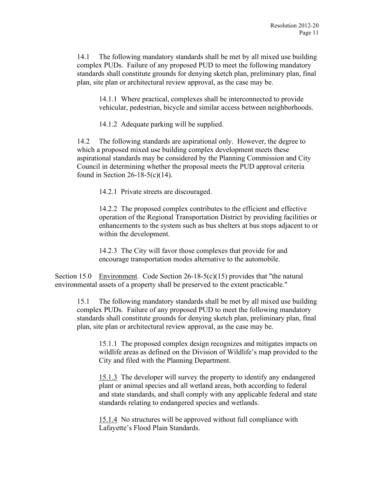14.1 The following mandatory standards shall be met by all mixed use building complex PUDs. Failure of any proposed PUD to meet the following mandatory standards shall constitute grounds for denying sketch plan, preliminary plan, final plan, site plan or architectural review approval, as the case may be.

14.1.1 Where practical, complexes shall be interconnected to provide vehicular, pedestrian, bicycle and similar access between neighborhoods.

14.1.2 Adequate parking will be supplied.

14.2 The following standards are aspirational only. However, the degree to which a proposed mixed use building complex development meets these aspirational standards may be considered by the Planning Commission and City Council in determining whether the proposal meets the PUD approval criteria found in Section 26-18-5(c)(14).

14.2.1 Private streets are discouraged.

14.2.2 The proposed complex contributes to the efficient and effective operation of the Regional Transportation District by providing facilities or enhancements to the system such as bus shelters at bus stops adjacent to or within the development.

14.2.3 The City will favor those complexes that provide for and encourage transportation modes alternative to the automobile.

Section 15.0 Environment. Code Section  $26-18-5(c)(15)$  provides that "the natural" environmental assets of a property shall be preserved to the extent practicable."

15.1 The following mandatory standards shall be met by all mixed use building complex PUDs. Failure of any proposed PUD to meet the following mandatory standards shall constitute grounds for denying sketch plan, preliminary plan, final plan, site plan or architectural review approval, as the case may be.

15.1.1 The proposed complex design recognizes and mitigates impacts on wildlife areas as defined on the Division of Wildlife's map provided to the City and filed with the Planning Department.

15.1.3 The developer will survey the property to identify any endangered plant or animal species and all wetland areas, both according to federal and state standards, and shall comply with any applicable federal and state standards relating to endangered species and wetlands.

15.1.4 No structures will be approved without full compliance with Lafayette's Flood Plain Standards.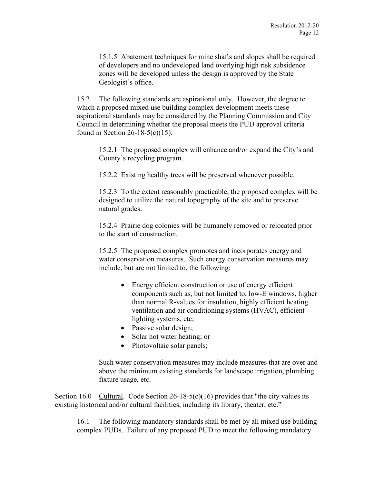15.1.5 Abatement techniques for mine shafts and slopes shall be required of developers and no undeveloped land overlying high risk subsidence zones will be developed unless the design is approved by the State Geologist's office.

15.2 The following standards are aspirational only. However, the degree to which a proposed mixed use building complex development meets these aspirational standards may be considered by the Planning Commission and City Council in determining whether the proposal meets the PUD approval criteria found in Section 26-18-5(c)(15).

15.2.1 The proposed complex will enhance and/or expand the City's and County's recycling program.

15.2.2 Existing healthy trees will be preserved whenever possible.

15.2.3 To the extent reasonably practicable, the proposed complex will be designed to utilize the natural topography of the site and to preserve natural grades.

15.2.4 Prairie dog colonies will be humanely removed or relocated prior to the start of construction.

15.2.5 The proposed complex promotes and incorporates energy and water conservation measures. Such energy conservation measures may include, but are not limited to, the following:

- Energy efficient construction or use of energy efficient components such as, but not limited to, low-E windows, higher than normal R-values for insulation, highly efficient heating ventilation and air conditioning systems (HVAC), efficient lighting systems, etc;
- Passive solar design;
- Solar hot water heating; or
- Photovoltaic solar panels;

Such water conservation measures may include measures that are over and above the minimum existing standards for landscape irrigation, plumbing fixture usage, etc.

Section 16.0 Cultural. Code Section  $26-18-5(c)(16)$  provides that "the city values its existing historical and/or cultural facilities, including its library, theater, etc."

16.1 The following mandatory standards shall be met by all mixed use building complex PUDs. Failure of any proposed PUD to meet the following mandatory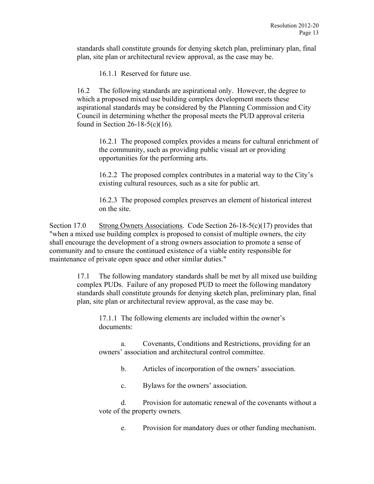standards shall constitute grounds for denying sketch plan, preliminary plan, final plan, site plan or architectural review approval, as the case may be.

16.1.1 Reserved for future use.

16.2 The following standards are aspirational only. However, the degree to which a proposed mixed use building complex development meets these aspirational standards may be considered by the Planning Commission and City Council in determining whether the proposal meets the PUD approval criteria found in Section 26-18-5(c)(16).

16.2.1 The proposed complex provides a means for cultural enrichment of the community, such as providing public visual art or providing opportunities for the performing arts.

16.2.2 The proposed complex contributes in a material way to the City's existing cultural resources, such as a site for public art.

16.2.3 The proposed complex preserves an element of historical interest on the site.

Section 17.0 Strong Owners Associations. Code Section 26-18-5(c)(17) provides that "when a mixed use building complex is proposed to consist of multiple owners, the city shall encourage the development of a strong owners association to promote a sense of community and to ensure the continued existence of a viable entity responsible for maintenance of private open space and other similar duties."

> 17.1 The following mandatory standards shall be met by all mixed use building complex PUDs. Failure of any proposed PUD to meet the following mandatory standards shall constitute grounds for denying sketch plan, preliminary plan, final plan, site plan or architectural review approval, as the case may be.

17.1.1 The following elements are included within the owner's documents:

a. Covenants, Conditions and Restrictions, providing for an owners' association and architectural control committee.

b. Articles of incorporation of the owners' association.

c. Bylaws for the owners' association.

d. Provision for automatic renewal of the covenants without a vote of the property owners.

e. Provision for mandatory dues or other funding mechanism.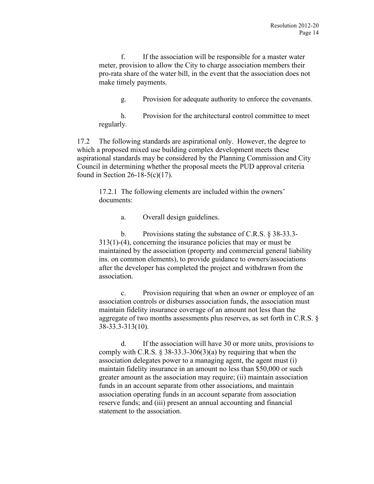f. If the association will be responsible for a master water meter, provision to allow the City to charge association members their pro-rata share of the water bill, in the event that the association does not make timely payments.

g. Provision for adequate authority to enforce the covenants.

h. Provision for the architectural control committee to meet regularly.

17.2 The following standards are aspirational only. However, the degree to which a proposed mixed use building complex development meets these aspirational standards may be considered by the Planning Commission and City Council in determining whether the proposal meets the PUD approval criteria found in Section 26-18-5(c)(17).

17.2.1 The following elements are included within the owners' documents:

a. Overall design guidelines.

b. Provisions stating the substance of C.R.S. § 38-33.3- 313(1)-(4), concerning the insurance policies that may or must be maintained by the association (property and commercial general liability ins. on common elements), to provide guidance to owners/associations after the developer has completed the project and withdrawn from the association.

c. Provision requiring that when an owner or employee of an association controls or disburses association funds, the association must maintain fidelity insurance coverage of an amount not less than the aggregate of two months assessments plus reserves, as set forth in C.R.S. § 38-33.3-313(10).

d. If the association will have 30 or more units, provisions to comply with C.R.S.  $\S 38-33.3-306(3)(a)$  by requiring that when the association delegates power to a managing agent, the agent must (i) maintain fidelity insurance in an amount no less than \$50,000 or such greater amount as the association may require; (ii) maintain association funds in an account separate from other associations, and maintain association operating funds in an account separate from association reserve funds; and (iii) present an annual accounting and financial statement to the association.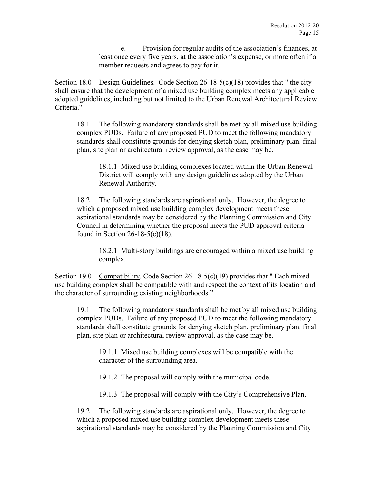e. Provision for regular audits of the association's finances, at least once every five years, at the association's expense, or more often if a member requests and agrees to pay for it.

Section 18.0 Design Guidelines. Code Section  $26-18-5(c)(18)$  provides that " the city shall ensure that the development of a mixed use building complex meets any applicable adopted guidelines, including but not limited to the Urban Renewal Architectural Review Criteria."

18.1 The following mandatory standards shall be met by all mixed use building complex PUDs. Failure of any proposed PUD to meet the following mandatory standards shall constitute grounds for denying sketch plan, preliminary plan, final plan, site plan or architectural review approval, as the case may be.

18.1.1 Mixed use building complexes located within the Urban Renewal District will comply with any design guidelines adopted by the Urban Renewal Authority.

18.2 The following standards are aspirational only. However, the degree to which a proposed mixed use building complex development meets these aspirational standards may be considered by the Planning Commission and City Council in determining whether the proposal meets the PUD approval criteria found in Section 26-18-5(c)(18).

18.2.1 Multi-story buildings are encouraged within a mixed use building complex.

Section 19.0 Compatibility. Code Section  $26-18-5(c)(19)$  provides that " Each mixed use building complex shall be compatible with and respect the context of its location and the character of surrounding existing neighborhoods."

19.1 The following mandatory standards shall be met by all mixed use building complex PUDs. Failure of any proposed PUD to meet the following mandatory standards shall constitute grounds for denying sketch plan, preliminary plan, final plan, site plan or architectural review approval, as the case may be.

19.1.1 Mixed use building complexes will be compatible with the character of the surrounding area.

19.1.2 The proposal will comply with the municipal code.

19.1.3 The proposal will comply with the City's Comprehensive Plan.

19.2 The following standards are aspirational only. However, the degree to which a proposed mixed use building complex development meets these aspirational standards may be considered by the Planning Commission and City